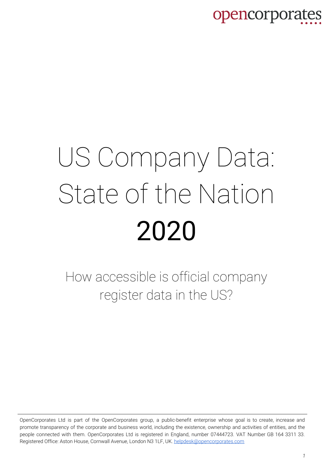# US Company Data: State of the Nation 2020

How accessible is official company register data in the US?

OpenCorporates Ltd is part of the OpenCorporates group, a public-benefit enterprise whose goal is to create, increase and promote transparency of the corporate and business world, including the existence, ownership and activities of entities, and the people connected with them. OpenCorporates Ltd is registered in England, number 07444723. VAT Number GB 164 3311 33. Registered Office: Aston House, Cornwall Avenue, London N3 1LF, UK. [helpdesk@opencorporates.com](mailto:helpdesk@opencorporates.com)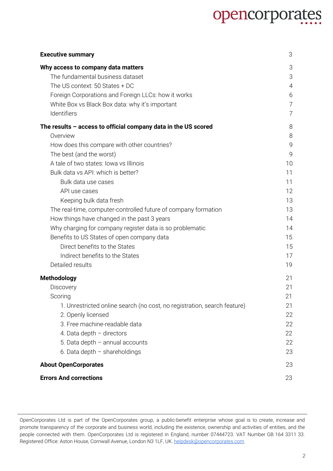| <b>Executive summary</b>                                                 | 3  |
|--------------------------------------------------------------------------|----|
| Why access to company data matters                                       | 3  |
| The fundamental business dataset                                         | 3  |
| The US context: 50 States + DC                                           | 4  |
| Foreign Corporations and Foreign LLCs: how it works                      | 6  |
| White Box vs Black Box data: why it's important                          | 7  |
| Identifiers                                                              | 7  |
| The results - access to official company data in the US scored           | 8  |
| Overview                                                                 | 8  |
| How does this compare with other countries?                              | 9  |
| The best (and the worst)                                                 | 9  |
| A tale of two states: Iowa vs Illinois                                   | 10 |
| Bulk data vs API: which is better?                                       | 11 |
| Bulk data use cases                                                      | 11 |
| API use cases                                                            | 12 |
| Keeping bulk data fresh                                                  | 13 |
| The real-time, computer-controlled future of company formation           | 13 |
| How things have changed in the past 3 years                              | 14 |
| Why charging for company register data is so problematic                 | 14 |
| Benefits to US States of open company data                               | 15 |
| Direct benefits to the States                                            | 15 |
| Indirect benefits to the States                                          | 17 |
| Detailed results                                                         | 19 |
| <b>Methodology</b>                                                       | 21 |
| Discovery                                                                | 21 |
| Scoring                                                                  | 21 |
| 1. Unrestricted online search (no cost, no registration, search feature) | 21 |
| 2. Openly licensed                                                       | 22 |
| 3. Free machine-readable data                                            | 22 |
| 4. Data depth $-$ directors                                              | 22 |
| 5. Data depth $-$ annual accounts                                        | 22 |
| 6. Data depth $-$ shareholdings                                          | 23 |
| <b>About OpenCorporates</b>                                              | 23 |
| <b>Errors And corrections</b>                                            | 23 |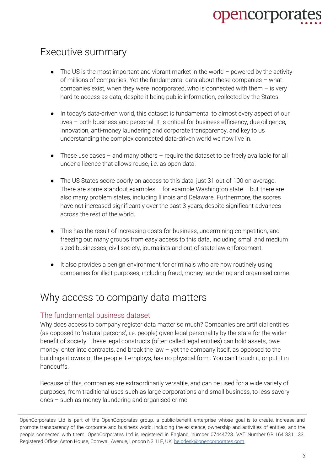### <span id="page-2-0"></span>Executive summary

- $\bullet$  The US is the most important and vibrant market in the world powered by the activity of millions of companies. Yet the fundamental data about these companies – what companies exist, when they were incorporated, who is connected with them  $-$  is very hard to access as data, despite it being public information, collected by the States.
- In today's data-driven world, this dataset is fundamental to almost every aspect of our lives – both business and personal. It is critical for business efficiency, due diligence, innovation, anti-money laundering and corporate transparency, and key to us understanding the complex connected data-driven world we now live in.
- $\bullet$  These use cases and many others require the dataset to be freely available for all under a licence that allows reuse, i.e. as open data.
- The US States score poorly on access to this data, just 31 out of 100 on average. There are some standout examples – for example Washington state – but there are also many problem states, including Illinois and Delaware. Furthermore, the scores have not increased significantly over the past 3 years, despite significant advances across the rest of the world.
- This has the result of increasing costs for business, undermining competition, and freezing out many groups from easy access to this data, including small and medium sized businesses, civil society, journalists and out-of-state law enforcement.
- It also provides a benign environment for criminals who are now routinely using companies for illicit purposes, including fraud, money laundering and organised crime.

### <span id="page-2-1"></span>Why access to company data matters

#### <span id="page-2-2"></span>The fundamental business dataset

Why does access to company register data matter so much? Companies are artificial entities (as opposed to 'natural persons', i.e. people) given legal personality by the state for the wider benefit of society. These legal constructs (often called legal entities) can hold assets, owe money, enter into contracts, and break the law – yet the company itself, as opposed to the buildings it owns or the people it employs, has no physical form. You can't touch it, or put it in handcuffs.

Because of this, companies are extraordinarily versatile, and can be used for a wide variety of purposes, from traditional uses such as large corporations and small business, to less savory ones – such as money laundering and organised crime.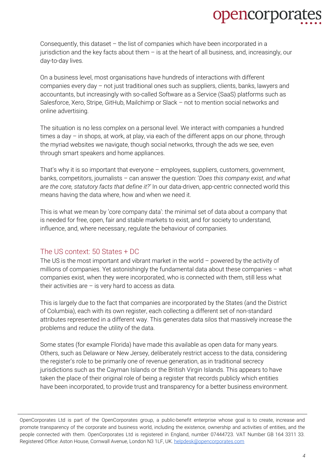Consequently, this dataset – the list of companies which have been incorporated in a jurisdiction and the key facts about them – is at the heart of all business, and, increasingly, our day-to-day lives.

On a business level, most organisations have hundreds of interactions with different companies every day – not just traditional ones such as suppliers, clients, banks, lawyers and accountants, but increasingly with so-called Software as a Service (SaaS) platforms such as Salesforce, Xero, Stripe, GitHub, Mailchimp or Slack – not to mention social networks and online advertising.

The situation is no less complex on a personal level. We interact with companies a hundred times a day – in shops, at work, at play, via each of the different apps on our phone, through the myriad websites we navigate, though social networks, through the ads we see, even through smart speakers and home appliances.

That's why it is so important that everyone – employees, suppliers, customers, government, banks, competitors, journalists – can answer the question: '*Does this company exist, and what are the core, statutory facts that define it?'* In our data-driven, app-centric connected world this means having the data where, how and when we need it.

This is what we mean by 'core company data': the minimal set of data about a company that is needed for free, open, fair and stable markets to exist, and for society to understand, influence, and, where necessary, regulate the behaviour of companies.

#### <span id="page-3-0"></span>The US context: 50 States + DC

The US is the most important and vibrant market in the world – powered by the activity of millions of companies. Yet astonishingly the fundamental data about these companies – what companies exist, when they were incorporated, who is connected with them, still less what their activities are  $-$  is very hard to access as data.

This is largely due to the fact that companies are incorporated by the States (and the District of Columbia), each with its own register, each collecting a different set of non-standard attributes represented in a different way. This generates data silos that massively increase the problems and reduce the utility of the data.

Some states (for example Florida) have made this available as open data for many years. Others, such as Delaware or New Jersey, deliberately restrict access to the data, considering the register's role to be primarily one of revenue generation, as in traditional secrecy jurisdictions such as the Cayman Islands or the British Virgin Islands. This appears to have taken the place of their original role of being a register that records publicly which entities have been incorporated, to provide trust and transparency for a better business environment.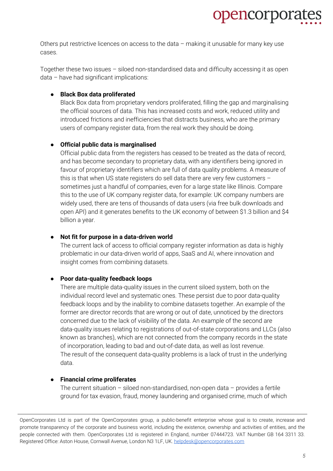

Others put restrictive licences on access to the data – making it unusable for many key use cases.

Together these two issues – siloed non-standardised data and difficulty accessing it as open data – have had significant implications:

#### ● **Black Box data proliferated**

Black Box data from proprietary vendors proliferated, filling the gap and marginalising the official sources of data. This has increased costs and work, reduced utility and introduced frictions and inefficiencies that distracts business, who are the primary users of company register data, from the real work they should be doing.

#### ● **Official public data is marginalised**

Official public data from the registers has ceased to be treated as the data of record, and has become secondary to proprietary data, with any identifiers being ignored in favour of proprietary identifiers which are full of data quality problems. A measure of this is that when US state registers do sell data there are very few customers – sometimes just a handful of companies, even for a large state like Illinois. Compare this to the use of UK company register data, for example: UK company numbers are widely used, there are tens of thousands of data users (via free bulk downloads and open API) and it generates benefits to the UK economy of between \$1.3 billion and \$4 billion a year.

#### ● **Not fit for purpose in a data-driven world**

The current lack of access to official company register information as data is highly problematic in our data-driven world of apps, SaaS and AI, where innovation and insight comes from combining datasets.

#### ● **Poor data-quality feedback loops**

There are multiple data-quality issues in the current siloed system, both on the individual record level and systematic ones. These persist due to poor data-quality feedback loops and by the inability to combine datasets together. An example of the former are director records that are wrong or out of date, unnoticed by the directors concerned due to the lack of visibility of the data. An example of the second are data-quality issues relating to registrations of out-of-state corporations and LLCs (also known as branches), which are not connected from the company records in the state of incorporation, leading to bad and out-of-date data, as well as lost revenue. The result of the consequent data-quality problems is a lack of trust in the underlying data.

#### ● **Financial crime proliferates**

The current situation – siloed non-standardised, non-open data – provides a fertile ground for tax evasion, fraud, money laundering and organised crime, much of which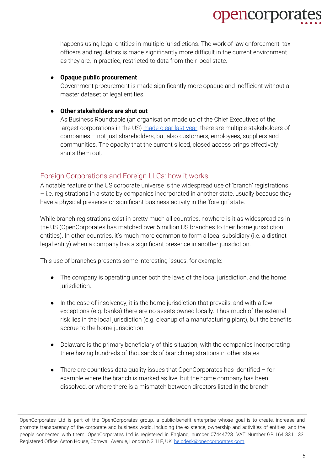happens using legal entities in multiple jurisdictions. The work of law enforcement, tax officers and regulators is made significantly more difficult in the current environment as they are, in practice, restricted to data from their local state.

opencorpora

#### ● **Opaque public procurement**

Government procurement is made significantly more opaque and inefficient without a master dataset of legal entities.

#### ● **Other stakeholders are shut out**

As Business Roundtable (an organisation made up of the Chief Executives of the largest corporations in the US) [made](https://www.businessroundtable.org/business-roundtable-redefines-the-purpose-of-a-corporation-to-promote-an-economy-that-serves-all-americans) clear last year, there are multiple stakeholders of companies – not just shareholders, but also customers, employees, suppliers and communities. The opacity that the current siloed, closed access brings effectively shuts them out.

#### <span id="page-5-0"></span>Foreign Corporations and Foreign LLCs: how it works

A notable feature of the US corporate universe is the widespread use of 'branch' registrations – i.e. registrations in a state by companies incorporated in another state, usually because they have a physical presence or significant business activity in the 'foreign' state.

While branch registrations exist in pretty much all countries, nowhere is it as widespread as in the US (OpenCorporates has matched over 5 million US branches to their home jurisdiction entities). In other countries, it's much more common to form a local subsidiary (i.e. a distinct legal entity) when a company has a significant presence in another jurisdiction.

This use of branches presents some interesting issues, for example:

- The company is operating under both the laws of the local jurisdiction, and the home jurisdiction.
- In the case of insolvency, it is the home jurisdiction that prevails, and with a few exceptions (e.g. banks) there are no assets owned locally. Thus much of the external risk lies in the local jurisdiction (e.g. cleanup of a manufacturing plant), but the benefits accrue to the home jurisdiction.
- Delaware is the primary beneficiary of this situation, with the companies incorporating there having hundreds of thousands of branch registrations in other states.
- There are countless data quality issues that OpenCorporates has identified for example where the branch is marked as live, but the home company has been dissolved, or where there is a mismatch between directors listed in the branch

OpenCorporates Ltd is part of the OpenCorporates group, a public-benefit enterprise whose goal is to create, increase and promote transparency of the corporate and business world, including the existence, ownership and activities of entities, and the people connected with them. OpenCorporates Ltd is registered in England, number 07444723. VAT Number GB 164 3311 33. Registered Office: Aston House, Cornwall Avenue, London N3 1LF, UK. [helpdesk@opencorporates.com](mailto:helpdesk@opencorporates.com)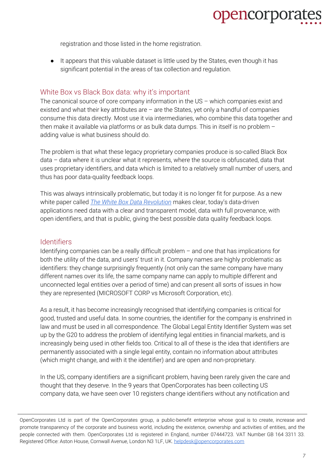

registration and those listed in the home registration.

● It appears that this valuable dataset is little used by the States, even though it has significant potential in the areas of tax collection and regulation.

#### <span id="page-6-0"></span>White Box vs Black Box data: why it's important

The canonical source of core company information in the US – which companies exist and existed and what their key attributes are  $-$  are the States, yet only a handful of companies consume this data directly. Most use it via intermediaries, who combine this data together and then make it available via platforms or as bulk data dumps. This in itself is no problem – adding value is what business should do.

The problem is that what these legacy proprietary companies produce is so-called Black Box data – data where it is unclear what it represents, where the source is obfuscated, data that uses proprietary identifiers, and data which is limited to a relatively small number of users, and thus has poor data-quality feedback loops.

This was always intrinsically problematic, but today it is no longer fit for purpose. As a new white paper called *The White Box Data [Revolution](https://opencorporates.files.wordpress.com/2019/05/whitepaper.pdf)* makes clear, today's data-driven applications need data with a clear and transparent model, data with full provenance, with open identifiers, and that is public, giving the best possible data quality feedback loops.

#### <span id="page-6-1"></span>**Identifiers**

Identifying companies can be a really difficult problem – and one that has implications for both the utility of the data, and users' trust in it. Company names are highly problematic as identifiers: they change surprisingly frequently (not only can the same company have many different names over its life, the same company name can apply to multiple different and unconnected legal entities over a period of time) and can present all sorts of issues in how they are represented (MICROSOFT CORP vs Microsoft Corporation, etc).

As a result, it has become increasingly recognised that identifying companies is critical for good, trusted and useful data. In some countries, the identifier for the company is enshrined in law and must be used in all correspondence. The Global Legal Entity Identifier System was set up by the G20 to address the problem of identifying legal entities in financial markets, and is increasingly being used in other fields too. Critical to all of these is the idea that identifiers are permanently associated with a single legal entity, contain no information about attributes (which might change, and with it the identifier) and are open and non-proprietary.

In the US, company identifiers are a significant problem, having been rarely given the care and thought that they deserve. In the 9 years that OpenCorporates has been collecting US company data, we have seen over 10 registers change identifiers without any notification and

OpenCorporates Ltd is part of the OpenCorporates group, a public-benefit enterprise whose goal is to create, increase and promote transparency of the corporate and business world, including the existence, ownership and activities of entities, and the people connected with them. OpenCorporates Ltd is registered in England, number 07444723. VAT Number GB 164 3311 33. Registered Office: Aston House, Cornwall Avenue, London N3 1LF, UK. [helpdesk@opencorporates.com](mailto:helpdesk@opencorporates.com)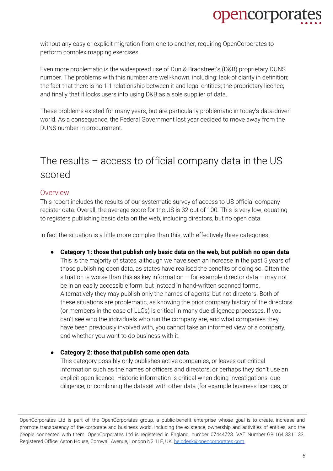

without any easy or explicit migration from one to another, requiring OpenCorporates to perform complex mapping exercises.

Even more problematic is the widespread use of Dun & Bradstreet's (D&B) proprietary DUNS number. The problems with this number are well-known, including: lack of clarity in definition; the fact that there is no 1:1 relationship between it and legal entities; the proprietary licence; and finally that it locks users into using D&B as a sole supplier of data.

These problems existed for many years, but are particularly problematic in today's data-driven world. As a consequence, the Federal Government last year decided to move away from the DUNS number in procurement.

### <span id="page-7-0"></span>The results  $-$  access to official company data in the US scored

#### <span id="page-7-1"></span>**Overview**

This report includes the results of our systematic survey of access to US official company register data. Overall, the average score for the US is 32 out of 100. This is very low, equating to registers publishing basic data on the web, including directors, but no open data.

In fact the situation is a little more complex than this, with effectively three categories:

- **Category 1: those that publish only basic data on the web, but publish no open data** This is the majority of states, although we have seen an increase in the past 5 years of those publishing open data, as states have realised the benefits of doing so. Often the situation is worse than this as key information  $-$  for example director data  $-$  may not be in an easily accessible form, but instead in hand-written scanned forms. Alternatively they may publish only the names of agents, but not directors. Both of these situations are problematic, as knowing the prior company history of the directors (or members in the case of LLCs) is critical in many due diligence processes. If you can't see who the individuals who run the company are, and what companies they have been previously involved with, you cannot take an informed view of a company, and whether you want to do business with it.
- **Category 2: those that publish some open data**

This category possibly only publishes active companies, or leaves out critical information such as the names of officers and directors, or perhaps they don't use an explicit open licence. Historic information is critical when doing investigations, due diligence, or combining the dataset with other data (for example business licences, or

OpenCorporates Ltd is part of the OpenCorporates group, a public-benefit enterprise whose goal is to create, increase and promote transparency of the corporate and business world, including the existence, ownership and activities of entities, and the people connected with them. OpenCorporates Ltd is registered in England, number 07444723. VAT Number GB 164 3311 33. Registered Office: Aston House, Cornwall Avenue, London N3 1LF, UK. [helpdesk@opencorporates.com](mailto:helpdesk@opencorporates.com)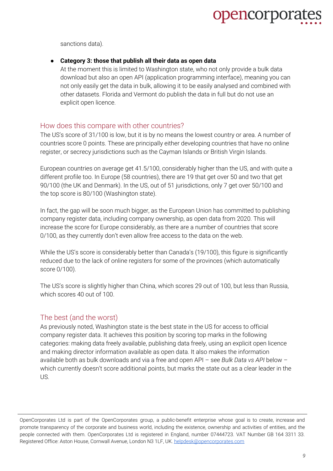

sanctions data).

#### ● **Category 3: those that publish all their data as open data**

At the moment this is limited to Washington state, who not only provide a bulk data download but also an open API (application programming interface), meaning you can not only easily get the data in bulk, allowing it to be easily analysed and combined with other datasets. Florida and Vermont do publish the data in full but do not use an explicit open licence.

#### <span id="page-8-0"></span>How does this compare with other countries?

The US's score of 31/100 is low, but it is by no means the lowest country or area. A number of countries score 0 points. These are principally either developing countries that have no online register, or secrecy jurisdictions such as the Cayman Islands or British Virgin Islands.

European countries on average get 41.5/100, considerably higher than the US, and with quite a different profile too. In Europe (58 countries), there are 19 that get over 50 and two that get 90/100 (the UK and Denmark). In the US, out of 51 jurisdictions, only 7 get over 50/100 and the top score is 80/100 (Washington state).

In fact, the gap will be soon much bigger, as the European Union has committed to publishing company register data, including company ownership, as open data from 2020. This will increase the score for Europe considerably, as there are a number of countries that score 0/100, as they currently don't even allow free access to the data on the web.

While the US's score is considerably better than Canada's (19/100), this figure is significantly reduced due to the lack of online registers for some of the provinces (which automatically score 0/100).

The US's score is slightly higher than China, which scores 29 out of 100, but less than Russia, which scores 40 out of 100.

#### <span id="page-8-1"></span>The best (and the worst)

As previously noted, Washington state is the best state in the US for access to official company register data. It achieves this position by scoring top marks in the following categories: making data freely available, publishing data freely, using an explicit open licence and making director information available as open data. It also makes the information available both as bulk downloads and via a free and open API – see *Bulk Data vs API* below – which currently doesn't score additional points, but marks the state out as a clear leader in the US.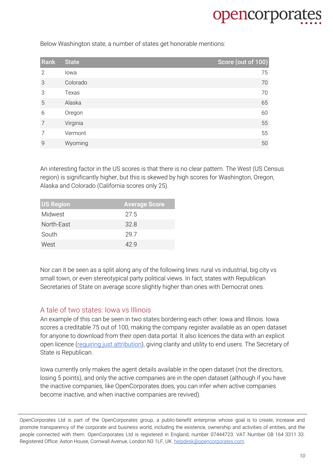

Below Washington state, a number of states get honorable mentions:

| Rank           | <b>State</b> | Score (out of 100) |
|----------------|--------------|--------------------|
| 2              | lowa         | 75                 |
| 3              | Colorado     | 70                 |
| 3              | Texas        | 70                 |
| 5              | Alaska       | 65                 |
| 6              | Oregon       | 60                 |
| $\overline{7}$ | Virginia     | 55                 |
| 7              | Vermont      | 55                 |
| 9              | Wyoming      | 50                 |

An interesting factor in the US scores is that there is no clear pattern. The West (US Census region) is significantly higher, but this is skewed by high scores for Washington, Oregon, Alaska and Colorado (California scores only 25).

| <b>US Region</b> | <b>Average Score</b> |
|------------------|----------------------|
| Midwest          | 27.5                 |
| North-East       | 32.8                 |
| South            | 29.7                 |
| West             | 42 Q                 |

Nor can it be seen as a split along any of the following lines: rural vs industrial, big city vs small town, or even stereotypical party political views. In fact, states with Republican Secretaries of State on average score slightly higher than ones with Democrat ones.

#### <span id="page-9-0"></span>A tale of two states: Iowa vs Illinois

An example of this can be seen in two states bordering each other: Iowa and Illinois. Iowa scores a creditable 75 out of 100, making the company register available as an open dataset for anyone to download from their open data portal. It also licences the data with an explicit open licence (requiring just [attribution\)](https://creativecommons.org/licenses/by/4.0/legalcode), giving clarity and utility to end users. The Secretary of State is Republican.

Iowa currently only makes the agent details available in the open dataset (not the directors, losing 5 points), and only the active companies are in the open dataset (although if you have the inactive companies, like OpenCorporates does, you can infer when active companies become inactive, and when inactive companies are revived).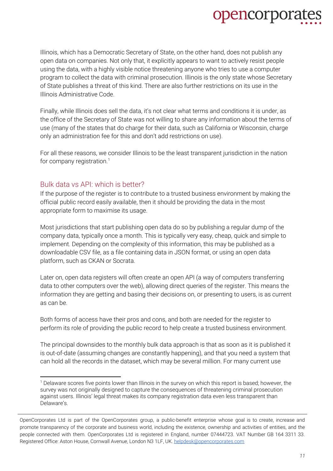

Illinois, which has a Democratic Secretary of State, on the other hand, does not publish any open data on companies. Not only that, it explicitly appears to want to actively resist people using the data, with a highly visible notice threatening anyone who tries to use a computer program to collect the data with criminal prosecution. Illinois is the only state whose Secretary of State publishes a threat of this kind. There are also further restrictions on its use in the Illinois Administrative Code.

Finally, while Illinois does sell the data, it's not clear what terms and conditions it is under, as the office of the Secretary of State was not willing to share any information about the terms of use (many of the states that do charge for their data, such as California or Wisconsin, charge only an administration fee for this and don't add restrictions on use).

For all these reasons, we consider Illinois to be the least transparent jurisdiction in the nation for company registration.<sup>1</sup>

#### <span id="page-10-0"></span>Bulk data vs API: which is better?

If the purpose of the register is to contribute to a trusted business environment by making the official public record easily available, then it should be providing the data in the most appropriate form to maximise its usage.

Most jurisdictions that start publishing open data do so by publishing a regular dump of the company data, typically once a month. This is typically very easy, cheap, quick and simple to implement. Depending on the complexity of this information, this may be published as a downloadable CSV file, as a file containing data in JSON format, or using an open data platform, such as CKAN or Socrata.

Later on, open data registers will often create an open API (a way of computers transferring data to other computers over the web), allowing direct queries of the register. This means the information they are getting and basing their decisions on, or presenting to users, is as current as can be.

Both forms of access have their pros and cons, and both are needed for the register to perform its role of providing the public record to help create a trusted business environment.

The principal downsides to the monthly bulk data approach is that as soon as it is published it is out-of-date (assuming changes are constantly happening), and that you need a system that can hold all the records in the dataset, which may be several million. For many current use

<sup>1</sup> Delaware scores five points lower than Illinois in the survey on which this report is based; however, the survey was not originally designed to capture the consequences of threatening criminal prosecution against users. Illinois' legal threat makes its company registration data even less transparent than Delaware's.

OpenCorporates Ltd is part of the OpenCorporates group, a public-benefit enterprise whose goal is to create, increase and promote transparency of the corporate and business world, including the existence, ownership and activities of entities, and the people connected with them. OpenCorporates Ltd is registered in England, number 07444723. VAT Number GB 164 3311 33. Registered Office: Aston House, Cornwall Avenue, London N3 1LF, UK. [helpdesk@opencorporates.com](mailto:helpdesk@opencorporates.com)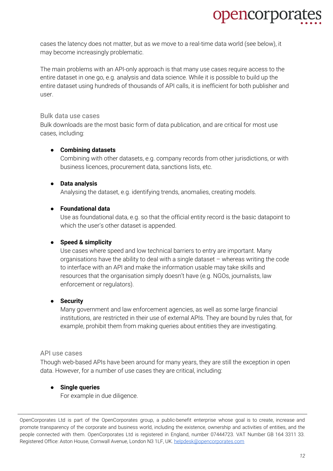

cases the latency does not matter, but as we move to a real-time data world (see below), it may become increasingly problematic.

The main problems with an API-only approach is that many use cases require access to the entire dataset in one go, e.g. analysis and data science. While it is possible to build up the entire dataset using hundreds of thousands of API calls, it is inefficient for both publisher and user.

#### <span id="page-11-0"></span>Bulk data use cases

Bulk downloads are the most basic form of data publication, and are critical for most use cases, including:

#### ● **Combining datasets**

Combining with other datasets, e.g. company records from other jurisdictions, or with business licences, procurement data, sanctions lists, etc.

#### ● **Data analysis**

Analysing the dataset, e.g. identifying trends, anomalies, creating models.

#### ● **Foundational data**

Use as foundational data, e.g. so that the official entity record is the basic datapoint to which the user's other dataset is appended.

#### ● **Speed & simplicity**

Use cases where speed and low technical barriers to entry are important. Many organisations have the ability to deal with a single dataset – whereas writing the code to interface with an API and make the information usable may take skills and resources that the organisation simply doesn't have (e.g. NGOs, journalists, law enforcement or regulators).

#### ● **Security**

Many government and law enforcement agencies, as well as some large financial institutions, are restricted in their use of external APIs. They are bound by rules that, for example, prohibit them from making queries about entities they are investigating.

#### <span id="page-11-1"></span>API use cases

Though web-based APIs have been around for many years, they are still the exception in open data. However, for a number of use cases they are critical, including:

#### **Single queries**

For example in due diligence.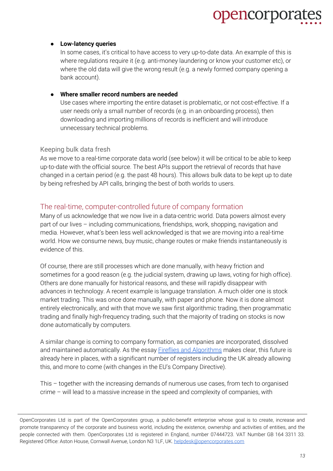#### ● **Low-latency queries**

In some cases, it's critical to have access to very up-to-date data. An example of this is where regulations require it (e.g. anti-money laundering or know your customer etc), or where the old data will give the wrong result (e.g. a newly formed company opening a bank account).

#### ● **Where smaller record numbers are needed**

Use cases where importing the entire dataset is problematic, or not cost-effective. If a user needs only a small number of records (e.g. in an onboarding process), then downloading and importing millions of records is inefficient and will introduce unnecessary technical problems.

#### <span id="page-12-0"></span>Keeping bulk data fresh

As we move to a real-time corporate data world (see below) it will be critical to be able to keep up-to-date with the official source. The best APIs support the retrieval of records that have changed in a certain period (e.g. the past 48 hours). This allows bulk data to be kept up to date by being refreshed by API calls, bringing the best of both worlds to users.

#### <span id="page-12-1"></span>The real-time, computer-controlled future of company formation

Many of us acknowledge that we now live in a data-centric world. Data powers almost every part of our lives – including communications, friendships, work, shopping, navigation and media. However, what's been less well acknowledged is that we are moving into a real-time world. How we consume news, buy music, change routes or make friends instantaneously is evidence of this.

Of course, there are still processes which are done manually, with heavy friction and sometimes for a good reason (e.g. the judicial system, drawing up laws, voting for high office). Others are done manually for historical reasons, and these will rapidly disappear with advances in technology. A recent example is language translation. A much older one is stock market trading. This was once done manually, with paper and phone. Now it is done almost entirely electronically, and with that move we saw first algorithmic trading, then programmatic trading and finally high-frequency trading, such that the majority of trading on stocks is now done automatically by computers.

A similar change is coming to company formation, as companies are incorporated, dissolved and maintained automatically. As the essay **Fireflies and [Algorithms](https://medium.com/@opencorporates/fireflies-and-algorithms-the-coming-explosion-of-companies-9d53cdb8738f)** makes clear, this future is already here in places, with a significant number of registers including the UK already allowing this, and more to come (with changes in the EU's Company Directive).

This – together with the increasing demands of numerous use cases, from tech to organised crime – will lead to a massive increase in the speed and complexity of companies, with

OpenCorporates Ltd is part of the OpenCorporates group, a public-benefit enterprise whose goal is to create, increase and promote transparency of the corporate and business world, including the existence, ownership and activities of entities, and the people connected with them. OpenCorporates Ltd is registered in England, number 07444723. VAT Number GB 164 3311 33. Registered Office: Aston House, Cornwall Avenue, London N3 1LF, UK. [helpdesk@opencorporates.com](mailto:helpdesk@opencorporates.com)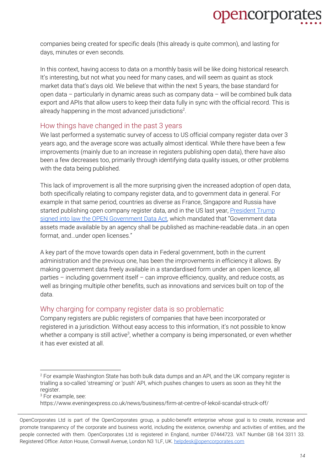

companies being created for specific deals (this already is quite common), and lasting for days, minutes or even seconds.

In this context, having access to data on a monthly basis will be like doing historical research. It's interesting, but not what you need for many cases, and will seem as quaint as stock market data that's days old. We believe that within the next 5 years, the base standard for open data – particularly in dynamic areas such as company data – will be combined bulk data export and APIs that allow users to keep their data fully in sync with the official record. This is already happening in the most advanced jurisdictions<sup>2</sup>.

#### <span id="page-13-0"></span>How things have changed in the past 3 years

We last performed a systematic survey of access to US official company register data over 3 years ago, and the average score was actually almost identical. While there have been a few improvements (mainly due to an increase in registers publishing open data), there have also been a few decreases too, primarily through identifying data quality issues, or other problems with the data being published.

This lack of improvement is all the more surprising given the increased adoption of open data, both specifically relating to company register data, and to government data in general. For example in that same period, countries as diverse as France, Singapore and Russia have started publishing open company register data, and in the US last year, [President](https://www.datacoalition.org/whats-next-for-open-data-in-the-u-s/) Trump signed into law the OPEN [Government](https://www.datacoalition.org/whats-next-for-open-data-in-the-u-s/) Data Act, which mandated that "Government data assets made available by an agency shall be published as machine-readable data…in an open format, and…under open licenses."

A key part of the move towards open data in Federal government, both in the current administration and the previous one, has been the improvements in efficiency it allows. By making government data freely available in a standardised form under an open licence, all parties – including government itself – can improve efficiency, quality, and reduce costs, as well as bringing multiple other benefits, such as innovations and services built on top of the data.

#### Why charging for company register data is so problematic

Company registers are public registers of companies that have been incorporated or registered in a jurisdiction. Without easy access to this information, it's not possible to know whether a company is still active $^3$ , whether a company is being impersonated, or even whether it has ever existed at all.

<sup>3</sup> For example, see:

https://www.eveningexpress.co.uk/news/business/firm-at-centre-of-lekoil-scandal-struck-off/

 $2$  For example Washington State has both bulk data dumps and an API, and the UK company register is trialling a so-called 'streaming' or 'push' API, which pushes changes to users as soon as they hit the register.

OpenCorporates Ltd is part of the OpenCorporates group, a public-benefit enterprise whose goal is to create, increase and promote transparency of the corporate and business world, including the existence, ownership and activities of entities, and the people connected with them. OpenCorporates Ltd is registered in England, number 07444723. VAT Number GB 164 3311 33. Registered Office: Aston House, Cornwall Avenue, London N3 1LF, UK. [helpdesk@opencorporates.com](mailto:helpdesk@opencorporates.com)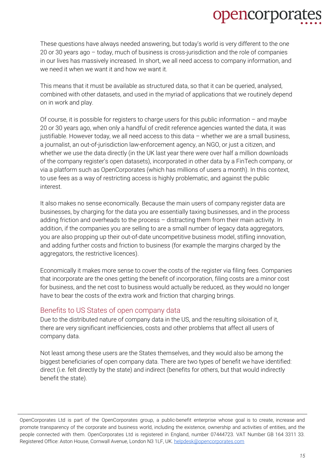These questions have always needed answering, but today's world is very different to the one 20 or 30 years ago – today, much of business is cross-jurisdiction and the role of companies in our lives has massively increased. In short, we all need access to company information, and we need it when we want it and how we want it.

This means that it must be available as structured data, so that it can be queried, analysed, combined with other datasets, and used in the myriad of applications that we routinely depend on in work and play.

Of course, it is possible for registers to charge users for this public information  $-$  and maybe 20 or 30 years ago, when only a handful of credit reference agencies wanted the data, it was justifiable. However today, we all need access to this data – whether we are a small business, a journalist, an out-of-jurisdiction law-enforcement agency, an NGO, or just a citizen, and whether we use the data directly (in the UK last year there were over half a million downloads of the company register's open datasets), incorporated in other data by a FinTech company, or via a platform such as OpenCorporates (which has millions of users a month). In this context, to use fees as a way of restricting access is highly problematic, and against the public interest.

It also makes no sense economically. Because the main users of company register data are businesses, by charging for the data you are essentially taxing businesses, and in the process adding friction and overheads to the process – distracting them from their main activity. In addition, if the companies you are selling to are a small number of legacy data aggregators, you are also propping up their out-of-date uncompetitive business model, stifling innovation, and adding further costs and friction to business (for example the margins charged by the aggregators, the restrictive licences).

Economically it makes more sense to cover the costs of the register via filing fees. Companies that incorporate are the ones getting the benefit of incorporation, filing costs are a minor cost for business, and the net cost to business would actually be reduced, as they would no longer have to bear the costs of the extra work and friction that charging brings.

#### <span id="page-14-0"></span>Benefits to US States of open company data

Due to the distributed nature of company data in the US, and the resulting siloisation of it, there are very significant inefficiencies, costs and other problems that affect all users of company data.

Not least among these users are the States themselves, and they would also be among the biggest beneficiaries of open company data. There are two types of benefit we have identified: direct (i.e. felt directly by the state) and indirect (benefits for others, but that would indirectly benefit the state).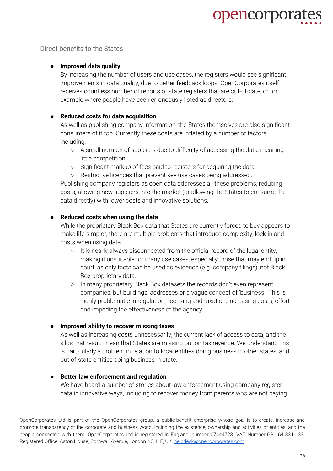Direct benefits to the States

#### ● **Improved data quality**

By increasing the number of users and use cases, the registers would see significant improvements in data quality, due to better feedback loops. OpenCorporates itself receives countless number of reports of state registers that are out-of-date, or for example where people have been erroneously listed as directors.

#### ● **Reduced costs for data acquisition**

As well as publishing company information, the States themselves are also significant consumers of it too. Currently these costs are inflated by a number of factors, including:

- A small number of suppliers due to difficulty of accessing the data, meaning little competition.
- Significant markup of fees paid to registers for acquiring the data.
- Restrictive licences that prevent key use cases being addressed.

Publishing company registers as open data addresses all these problems, reducing costs, allowing new suppliers into the market (or allowing the States to consume the data directly) with lower costs and innovative solutions.

#### ● **Reduced costs when using the data**

While the proprietary Black Box data that States are currently forced to buy appears to make life simpler, there are multiple problems that introduce complexity, lock-in and costs when using data:

- It is nearly always disconnected from the official record of the legal entity, making it unsuitable for many use cases, especially those that may end up in court, as only facts can be used as evidence (e.g. company filings), not Black Box proprietary data.
- In many proprietary Black Box datasets the records don't even represent companies, but buildings, addresses or a vague concept of 'business'. This is highly problematic in regulation, licensing and taxation, increasing costs, effort and impeding the effectiveness of the agency.

#### ● **Improved ability to recover missing taxes**

As well as increasing costs unnecessarily, the current lack of access to data, and the silos that result, mean that States are missing out on tax revenue. We understand this is particularly a problem in relation to local entities doing business in other states, and out-of-state entities doing business in state.

#### ● **Better law enforcement and regulation**

We have heard a number of stories about law enforcement using company register data in innovative ways, including to recover money from parents who are not paying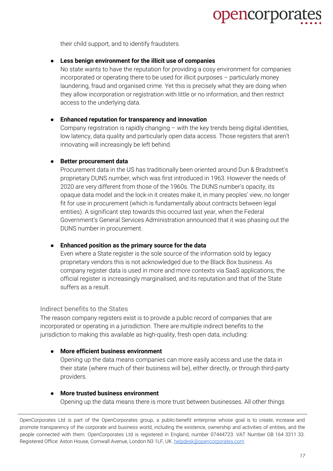

their child support, and to identify fraudsters.

#### ● **Less benign environment for the illicit use of companies**

No state wants to have the reputation for providing a cosy environment for companies incorporated or operating there to be used for illicit purposes – particularly money laundering, fraud and organised crime. Yet this is precisely what they are doing when they allow incorporation or registration with little or no information, and then restrict access to the underlying data.

#### ● **Enhanced reputation for transparency and innovation**

Company registration is rapidly changing – with the key trends being digital identities, low latency, data quality and particularly open data access. Those registers that aren't innovating will increasingly be left behind.

#### ● **Better procurement data**

Procurement data in the US has traditionally been oriented around Dun & Bradstreet's proprietary DUNS number, which was first introduced in 1963. However the needs of 2020 are very different from those of the 1960s. The DUNS number's opacity, its opaque data model and the lock-in it creates make it, in many peoples' view, no longer fit for use in procurement (which is fundamentally about contracts between legal entities). A significant step towards this occurred last year, when the Federal Government's General Services Administration announced that it was phasing out the DUNS number in procurement.

#### ● **Enhanced position as the primary source for the data**

Even where a State register is the sole source of the information sold by legacy proprietary vendors this is not acknowledged due to the Black Box business. As company register data is used in more and more contexts via SaaS applications, the official register is increasingly marginalised, and its reputation and that of the State suffers as a result.

#### <span id="page-16-0"></span>Indirect benefits to the States

The reason company registers exist is to provide a public record of companies that are incorporated or operating in a jurisdiction. There are multiple indirect benefits to the jurisdiction to making this available as high-quality, fresh open data, including:

#### ● **More efficient business environment**

Opening up the data means companies can more easily access and use the data in their state (where much of their business will be), either directly, or through third-party providers.

#### ● **More trusted business environment** Opening up the data means there is more trust between businesses. All other things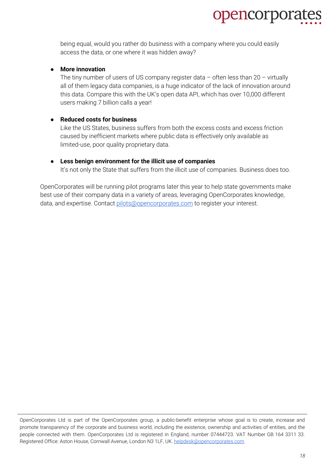

being equal, would you rather do business with a company where you could easily access the data, or one where it was hidden away?

#### ● **More innovation**

The tiny number of users of US company register data  $-$  often less than 20  $-$  virtually all of them legacy data companies, is a huge indicator of the lack of innovation around this data. Compare this with the UK's open data API, which has over 10,000 different users making 7 billion calls a year!

#### ● **Reduced costs for business**

Like the US States, business suffers from both the excess costs and excess friction caused by inefficient markets where public data is effectively only available as limited-use, poor quality proprietary data.

#### ● **Less benign environment for the illicit use of companies**

It's not only the State that suffers from the illicit use of companies. Business does too.

OpenCorporates will be running pilot programs later this year to help state governments make best use of their company data in a variety of areas, leveraging OpenCorporates knowledge, data, and expertise. Contact [pilots@opencorporates.com](mailto:pilots@opencorporates.com) to register your interest.

OpenCorporates Ltd is part of the OpenCorporates group, a public-benefit enterprise whose goal is to create, increase and promote transparency of the corporate and business world, including the existence, ownership and activities of entities, and the people connected with them. OpenCorporates Ltd is registered in England, number 07444723. VAT Number GB 164 3311 33. Registered Office: Aston House, Cornwall Avenue, London N3 1LF, UK. [helpdesk@opencorporates.com](mailto:helpdesk@opencorporates.com)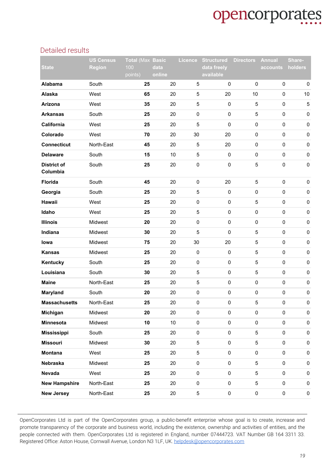#### <span id="page-18-0"></span>Detailed results

|                                | <b>US Census</b> | <b>Total (Max Basic</b> |                | <b>Licence</b>      | <b>Structured</b>        | <b>Directors</b> | <b>Annual</b>       | Share-      |
|--------------------------------|------------------|-------------------------|----------------|---------------------|--------------------------|------------------|---------------------|-------------|
| <b>State</b>                   | <b>Region</b>    | 100<br>points)          | data<br>online |                     | data freely<br>available |                  | accounts            | holders     |
| Alabama                        | South            | 25                      | 20             | $\sqrt{5}$          | $\pmb{0}$                | $\mathbf 0$      | $\mathsf{O}\xspace$ | $\pmb{0}$   |
| Alaska                         | West             | 65                      | 20             | 5                   | 20                       | 10               | $\mathsf 0$         | $10$        |
| Arizona                        | West             | 35                      | 20             | 5                   | $\pmb{0}$                | $\mathbf 5$      | $\mathsf 0$         | $\,$ 5 $\,$ |
| <b>Arkansas</b>                | South            | 25                      | 20             | $\pmb{0}$           | $\pmb{0}$                | $\sqrt{5}$       | $\mathsf 0$         | $\pmb{0}$   |
| California                     | West             | 25                      | 20             | $\sqrt{5}$          | $\pmb{0}$                | $\pmb{0}$        | $\mathsf 0$         | $\pmb{0}$   |
| Colorado                       | West             | 70                      | 20             | 30                  | 20                       | $\pmb{0}$        | $\mathsf 0$         | $\pmb{0}$   |
| <b>Connecticut</b>             | North-East       | 45                      | 20             | $\sqrt{5}$          | 20                       | $\pmb{0}$        | $\mathsf 0$         | $\pmb{0}$   |
| <b>Delaware</b>                | South            | 15                      | 10             | 5                   | $\pmb{0}$                | $\pmb{0}$        | $\pmb{0}$           | $\pmb{0}$   |
| <b>District of</b><br>Columbia | South            | 25                      | 20             | $\pmb{0}$           | $\pmb{0}$                | $\,$ 5 $\,$      | $\pmb{0}$           | $\pmb{0}$   |
| <b>Florida</b>                 | South            | 45                      | 20             | $\pmb{0}$           | 20                       | $\sqrt{5}$       | $\mathsf{O}\xspace$ | $\pmb{0}$   |
| Georgia                        | South            | 25                      | 20             | 5                   | $\pmb{0}$                | $\pmb{0}$        | $\mathsf{O}\xspace$ | $\pmb{0}$   |
| Hawaii                         | West             | 25                      | 20             | $\mathbf 0$         | $\pmb{0}$                | 5                | $\pmb{0}$           | $\pmb{0}$   |
| Idaho                          | West             | 25                      | 20             | 5                   | $\pmb{0}$                | $\pmb{0}$        | $\mathsf{O}\xspace$ | $\pmb{0}$   |
| <b>Illinois</b>                | Midwest          | 20                      | 20             | $\mathsf 0$         | $\pmb{0}$                | $\pmb{0}$        | $\pmb{0}$           | $\pmb{0}$   |
| Indiana                        | Midwest          | 30                      | 20             | 5                   | $\pmb{0}$                | $\sqrt{5}$       | $\mathsf{O}\xspace$ | $\pmb{0}$   |
| lowa                           | Midwest          | 75                      | 20             | 30                  | 20                       | $\sqrt{5}$       | $\pmb{0}$           | $\pmb{0}$   |
| <b>Kansas</b>                  | Midwest          | 25                      | 20             | $\pmb{0}$           | $\pmb{0}$                | 5                | $\mathsf{O}\xspace$ | $\pmb{0}$   |
| Kentucky                       | South            | 25                      | 20             | $\pmb{0}$           | $\pmb{0}$                | $\sqrt{5}$       | $\mathsf{O}\xspace$ | $\pmb{0}$   |
| Louisiana                      | South            | 30                      | 20             | 5                   | $\pmb{0}$                | 5                | $\mathsf{O}\xspace$ | $\pmb{0}$   |
| <b>Maine</b>                   | North-East       | 25                      | 20             | 5                   | $\pmb{0}$                | 0                | $\mathsf{O}\xspace$ | $\pmb{0}$   |
| Maryland                       | South            | 20                      | 20             | $\pmb{0}$           | $\pmb{0}$                | $\pmb{0}$        | $\mathsf{O}\xspace$ | $\pmb{0}$   |
| <b>Massachusetts</b>           | North-East       | 25                      | 20             | 0                   | $\pmb{0}$                | 5                | $\mathsf 0$         | $\pmb{0}$   |
| Michigan                       | Midwest          | 20                      | 20             | $\pmb{0}$           | $\pmb{0}$                | $\pmb{0}$        | $\pmb{0}$           | $\pmb{0}$   |
| Minnesota                      | Midwest          | 10                      | 10             | $\pmb{0}$           | $\pmb{0}$                | $\mathsf 0$      | $\pmb{0}$           | $\pmb{0}$   |
| <b>Mississippi</b>             | South            | 25                      | 20             | $\pmb{0}$           | $\pmb{0}$                | $\sqrt{5}$       | $\pmb{0}$           | $\pmb{0}$   |
| <b>Missouri</b>                | Midwest          | 30                      | 20             | 5                   | $\pmb{0}$                | $\sqrt{5}$       | $\pmb{0}$           | $\pmb{0}$   |
| Montana                        | West             | 25                      | 20             | 5                   | $\pmb{0}$                | $\mathsf 0$      | $\pmb{0}$           | $\pmb{0}$   |
| Nebraska                       | Midwest          | 25                      | 20             | $\mathsf{O}\xspace$ | $\pmb{0}$                | $\sqrt{5}$       | $\pmb{0}$           | $\pmb{0}$   |
| Nevada                         | West             | 25                      | 20             | $\pmb{0}$           | $\pmb{0}$                | $\sqrt{5}$       | $\pmb{0}$           | $\pmb{0}$   |
| <b>New Hampshire</b>           | North-East       | 25                      | 20             | $\pmb{0}$           | $\pmb{0}$                | $\mathbf 5$      | $\pmb{0}$           | $\mathbf 0$ |
| <b>New Jersey</b>              | North-East       | 25                      | 20             | 5                   | $\pmb{0}$                | $\pmb{0}$        | $\pmb{0}$           | $\pmb{0}$   |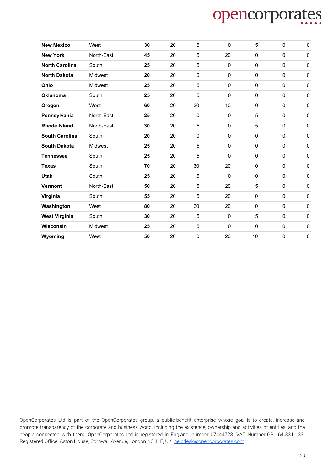| <b>New Mexico</b>     | West       | 30 | 20 | 5           | 0         | 5            | 0         | $\pmb{0}$   |
|-----------------------|------------|----|----|-------------|-----------|--------------|-----------|-------------|
| <b>New York</b>       | North-East | 45 | 20 | 5           | 20        | $\mathbf 0$  | 0         | $\mathbf 0$ |
| <b>North Carolina</b> | South      | 25 | 20 | 5           | $\pmb{0}$ | $\mathbf 0$  | 0         | $\mathbf 0$ |
| <b>North Dakota</b>   | Midwest    | 20 | 20 | $\mathbf 0$ | 0         | $\mathbf{0}$ | $\Omega$  | $\pmb{0}$   |
| Ohio                  | Midwest    | 25 | 20 | 5           | 0         | $\mathbf 0$  | 0         | $\mathbf 0$ |
| <b>Oklahoma</b>       | South      | 25 | 20 | 5           | $\pmb{0}$ | $\mathbf 0$  | $\pmb{0}$ | $\mathbf 0$ |
| Oregon                | West       | 60 | 20 | 30          | 10        | $\Omega$     | $\pmb{0}$ | $\mathbf 0$ |
| Pennsylvania          | North-East | 25 | 20 | $\mathbf 0$ | 0         | 5            | 0         | $\mathbf 0$ |
| <b>Rhode Island</b>   | North-East | 30 | 20 | 5           | 0         | 5            | 0         | $\mathbf 0$ |
| <b>South Carolina</b> | South      | 20 | 20 | $\pmb{0}$   | $\pmb{0}$ | $\mathbf 0$  | $\pmb{0}$ | $\pmb{0}$   |
| <b>South Dakota</b>   | Midwest    | 25 | 20 | 5           | $\pmb{0}$ | $\mathbf 0$  | $\pmb{0}$ | $\pmb{0}$   |
| <b>Tennessee</b>      | South      | 25 | 20 | 5           | 0         | $\mathbf{0}$ | 0         | $\mathbf 0$ |
| <b>Texas</b>          | South      | 70 | 20 | 30          | 20        | $\mathbf 0$  | 0         | $\mathbf 0$ |
| <b>Utah</b>           | South      | 25 | 20 | 5           | $\pmb{0}$ | $\mathbf{0}$ | $\Omega$  | $\mathbf 0$ |
| <b>Vermont</b>        | North-East | 50 | 20 | 5           | 20        | 5            | 0         | $\mathbf 0$ |
| Virginia              | South      | 55 | 20 | 5           | 20        | 10           | 0         | $\mathbf 0$ |
| Washington            | West       | 80 | 20 | 30          | 20        | 10           | 0         | $\mathbf 0$ |
| <b>West Virginia</b>  | South      | 30 | 20 | 5           | 0         | 5            | 0         | $\mathbf 0$ |
| <b>Wisconsin</b>      | Midwest    | 25 | 20 | 5           | 0         | $\mathbf 0$  | $\pmb{0}$ | $\pmb{0}$   |
| Wyoming               | West       | 50 | 20 | 0           | 20        | 10           | 0         | $\pmb{0}$   |

OpenCorporates Ltd is part of the OpenCorporates group, a public-benefit enterprise whose goal is to create, increase and promote transparency of the corporate and business world, including the existence, ownership and activities of entities, and the people connected with them. OpenCorporates Ltd is registered in England, number 07444723. VAT Number GB 164 3311 33. Registered Office: Aston House, Cornwall Avenue, London N3 1LF, UK. [helpdesk@opencorporates.com](mailto:helpdesk@opencorporates.com)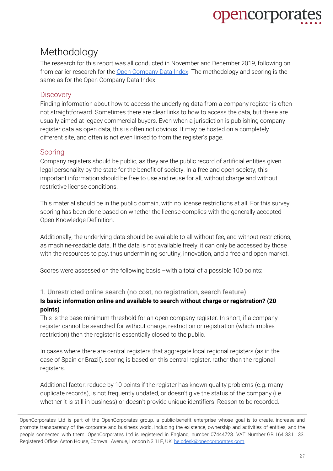### <span id="page-20-0"></span>Methodology

The research for this report was all conducted in November and December 2019, following on from earlier research for the Open [Company](http://registries.opencorporates.com/) Data Index. The methodology and scoring is the same as for the Open Company Data Index.

#### <span id="page-20-1"></span>**Discovery**

Finding information about how to access the underlying data from a company register is often not straightforward. Sometimes there are clear links to how to access the data, but these are usually aimed at legacy commercial buyers. Even when a jurisdiction is publishing company register data as open data, this is often not obvious. It may be hosted on a completely different site, and often is not even linked to from the register's page.

#### <span id="page-20-2"></span>**Scoring**

Company registers should be public, as they are the public record of artificial entities given legal personality by the state for the benefit of society. In a free and open society, this important information should be free to use and reuse for all, without charge and without restrictive license conditions.

This material should be in the public domain, with no license restrictions at all. For this survey, scoring has been done based on whether the license complies with the generally accepted Open Knowledge Definition.

Additionally, the underlying data should be available to all without fee, and without restrictions, as machine-readable data. If the data is not available freely, it can only be accessed by those with the resources to pay, thus undermining scrutiny, innovation, and a free and open market.

Scores were assessed on the following basis –with a total of a possible 100 points:

#### <span id="page-20-3"></span>1. Unrestricted online search (no cost, no registration, search feature)

#### **Is basic information online and available to search without charge or registration? (20 points)**

This is the base minimum threshold for an open company register. In short, if a company register cannot be searched for without charge, restriction or registration (which implies restriction) then the register is essentially closed to the public.

In cases where there are central registers that aggregate local regional registers (as in the case of Spain or Brazil), scoring is based on this central register, rather than the regional registers.

Additional factor: reduce by 10 points if the register has known quality problems (e.g. many duplicate records), is not frequently updated, or doesn't give the status of the company (i.e. whether it is still in business) or doesn't provide unique identifiers. Reason to be recorded.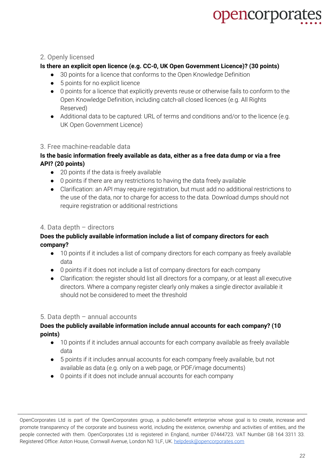#### <span id="page-21-0"></span>2. Openly licensed

#### **Is there an explicit open licence (e.g. CC-0, UK Open Government Licence)? (30 points)**

- 30 points for a licence that conforms to the Open Knowledge Definition
- 5 points for no explicit licence
- 0 points for a licence that explicitly prevents reuse or otherwise fails to conform to the Open Knowledge Definition, including catch-all closed licences (e.g. All Rights Reserved)
- Additional data to be captured: URL of terms and conditions and/or to the licence (e.g. UK Open Government Licence)

#### <span id="page-21-1"></span>3. Free machine-readable data

#### **Is the basic information freely available as data, either as a free data dump or via a free API? (20 points)**

- 20 points if the data is freely available
- 0 points if there are any restrictions to having the data freely available
- Clarification: an API may require registration, but must add no additional restrictions to the use of the data, nor to charge for access to the data. Download dumps should not require registration or additional restrictions

#### <span id="page-21-2"></span>4. Data depth – directors

#### **Does the publicly available information include a list of company directors for each company?**

- 10 points if it includes a list of company directors for each company as freely available data
- 0 points if it does not include a list of company directors for each company
- Clarification: the register should list all directors for a company, or at least all executive directors. Where a company register clearly only makes a single director available it should not be considered to meet the threshold

#### <span id="page-21-3"></span>5. Data depth – annual accounts

#### **Does the publicly available information include annual accounts for each company? (10 points)**

- 10 points if it includes annual accounts for each company available as freely available data
- 5 points if it includes annual accounts for each company freely available, but not available as data (e.g. only on a web page, or PDF/image documents)
- 0 points if it does not include annual accounts for each company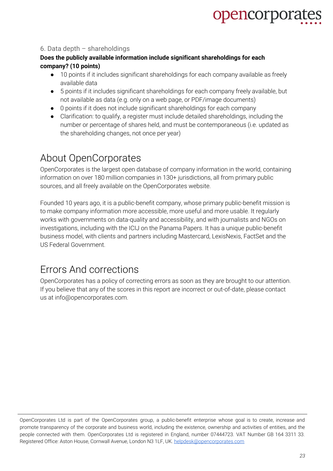#### <span id="page-22-0"></span>6. Data depth – shareholdings

#### **Does the publicly available information include significant shareholdings for each company? (10 points)**

- 10 points if it includes significant shareholdings for each company available as freely available data
- 5 points if it includes significant shareholdings for each company freely available, but not available as data (e.g. only on a web page, or PDF/image documents)
- 0 points if it does not include significant shareholdings for each company
- Clarification: to qualify, a register must include detailed shareholdings, including the number or percentage of shares held, and must be contemporaneous (i.e. updated as the shareholding changes, not once per year)

### <span id="page-22-1"></span>About OpenCorporates

OpenCorporates is the largest open database of company information in the world, containing information on over 180 million companies in 130+ jurisdictions, all from primary public sources, and all freely available on the OpenCorporates website.

Founded 10 years ago, it is a public-benefit company, whose primary public-benefit mission is to make company information more accessible, more useful and more usable. It regularly works with governments on data-quality and accessibility, and with journalists and NGOs on investigations, including with the ICIJ on the Panama Papers. It has a unique public-benefit business model, with clients and partners including Mastercard, LexisNexis, FactSet and the US Federal Government.

### <span id="page-22-2"></span>Errors And corrections

OpenCorporates has a policy of correcting errors as soon as they are brought to our attention. If you believe that any of the scores in this report are incorrect or out-of-date, please contact us at info@opencorporates.com.

OpenCorporates Ltd is part of the OpenCorporates group, a public-benefit enterprise whose goal is to create, increase and promote transparency of the corporate and business world, including the existence, ownership and activities of entities, and the people connected with them. OpenCorporates Ltd is registered in England, number 07444723. VAT Number GB 164 3311 33. Registered Office: Aston House, Cornwall Avenue, London N3 1LF, UK. [helpdesk@opencorporates.com](mailto:helpdesk@opencorporates.com)